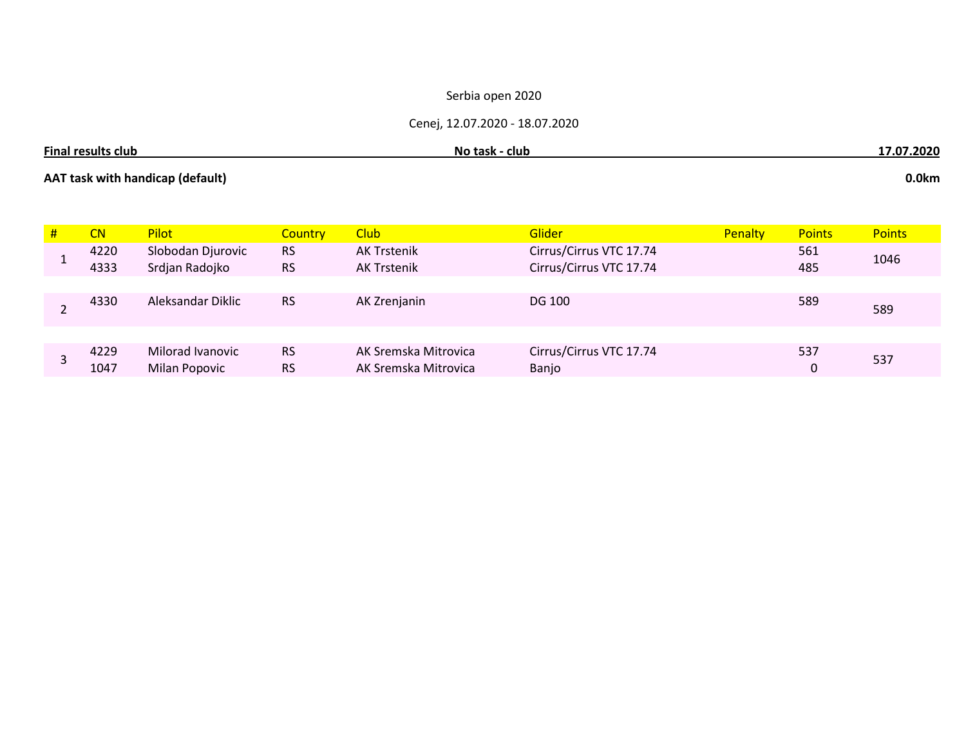# Cenej, 12.07.2020 - 18.07.2020

| <b>Final</b> | task | הרחר     |
|--------------|------|----------|
| results      | No   | . . ZUZU |
| <b>club</b>  | club | - 11     |
|              |      |          |

# **AAT task with handicap (default)** 0.0km

| # | CN   | <b>Pilot</b>         | <b>Country</b> | <b>Club</b>          | <b>Glider</b>           | <b>Penalty</b> | <b>Points</b> | <b>Points</b> |
|---|------|----------------------|----------------|----------------------|-------------------------|----------------|---------------|---------------|
|   | 4220 | Slobodan Djurovic    | <b>RS</b>      | <b>AK Trstenik</b>   | Cirrus/Cirrus VTC 17.74 |                | 561           | 1046          |
|   | 4333 | Srdjan Radojko       | <b>RS</b>      | <b>AK Trstenik</b>   | Cirrus/Cirrus VTC 17.74 |                | 485           |               |
|   |      |                      |                |                      |                         |                |               |               |
|   | 4330 | Aleksandar Diklic    | <b>RS</b>      | AK Zrenjanin         | <b>DG 100</b>           |                | 589           | 589           |
|   |      |                      |                |                      |                         |                |               |               |
|   |      |                      |                |                      |                         |                |               |               |
|   | 4229 | Milorad Ivanovic     | <b>RS</b>      | AK Sremska Mitrovica | Cirrus/Cirrus VTC 17.74 |                | 537           | 537           |
|   | 1047 | <b>Milan Popovic</b> | <b>RS</b>      | AK Sremska Mitrovica | Banjo                   |                |               |               |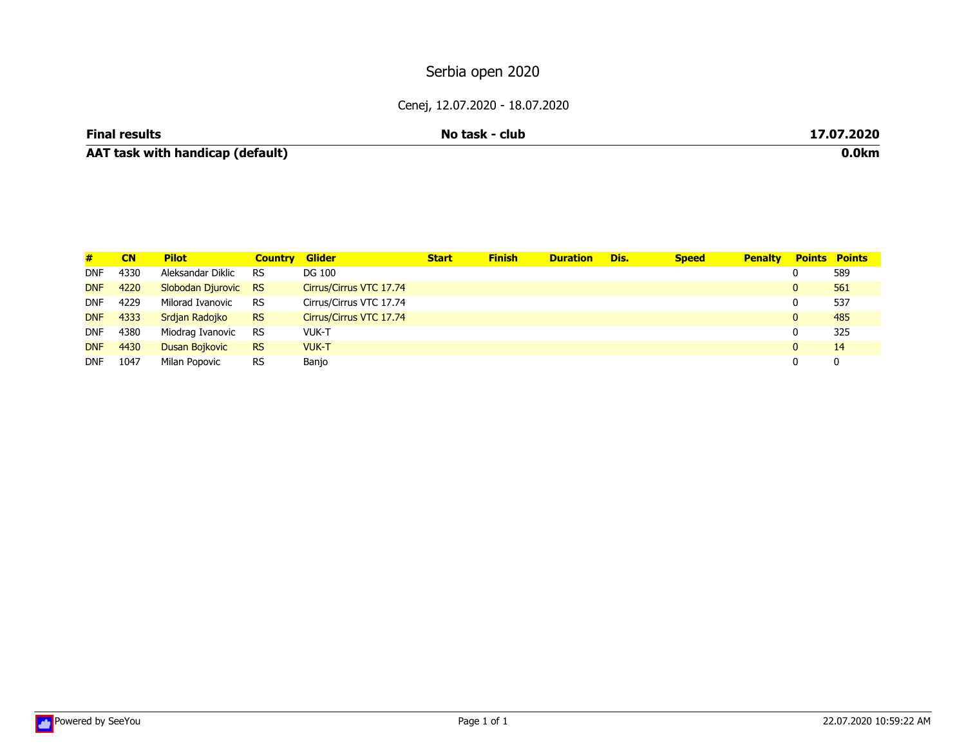# Cenej, 12.07.2020 - 18.07.2020

**Final results**

**No task - club**

**17.07.2020**

 $0.0km$ 

**AAT task with handicap (default)0.0km**

| #          | CN   | <b>Pilot</b>      | <b>Country</b> | Glider                  | <b>Start</b> | <b>Finish</b> | <b>Duration</b> | Dis. | <b>Speed</b> | <b>Penalty</b> |              | <b>Points Points</b> |
|------------|------|-------------------|----------------|-------------------------|--------------|---------------|-----------------|------|--------------|----------------|--------------|----------------------|
| <b>DNF</b> | 4330 | Aleksandar Diklic | <b>RS</b>      | DG 100                  |              |               |                 |      |              |                | 0            | 589                  |
| <b>DNF</b> | 4220 | Slobodan Djurovic | <b>RS</b>      | Cirrus/Cirrus VTC 17.74 |              |               |                 |      |              |                | $\mathbf{0}$ | 561                  |
| <b>DNF</b> | 4229 | Milorad Ivanovic  | <b>RS</b>      | Cirrus/Cirrus VTC 17.74 |              |               |                 |      |              |                | 0            | 537                  |
| <b>DNF</b> | 4333 | Srdjan Radojko    | <b>RS</b>      | Cirrus/Cirrus VTC 17.74 |              |               |                 |      |              |                | $\mathbf{0}$ | 485                  |
| <b>DNF</b> | 4380 | Miodrag Ivanovic  | <b>RS</b>      | VUK-T                   |              |               |                 |      |              |                | 0            | 325                  |
| DNF.       | 4430 | Dusan Bojkovic    | <b>RS</b>      | <b>VUK-T</b>            |              |               |                 |      |              |                | 0            | 14                   |
| <b>DNF</b> | 1047 | Milan Popovic     | <b>RS</b>      | Banjo                   |              |               |                 |      |              |                | 0            | 0                    |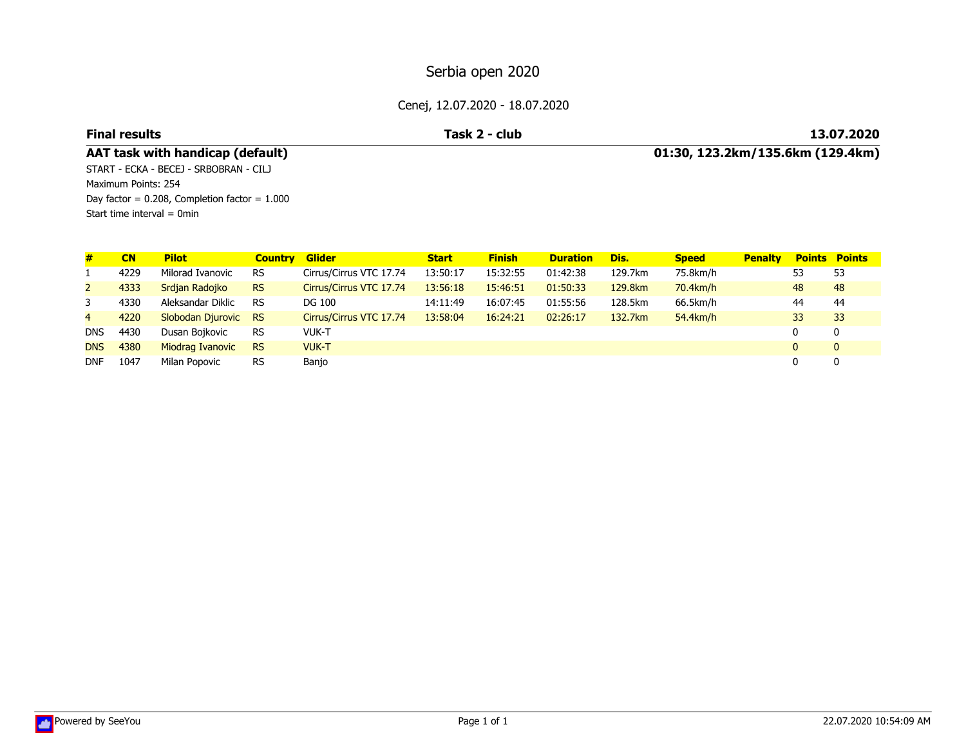### Cenej, 12.07.2020 - 18.07.2020

#### **Final results**

#### **Task 2 - club**

#### **13.07.2020**

## **AAT task with handicap (default)**

 **01:30, 123.2km/135.6km (129.4km)** START - ECKA - BECEJ - SRBOBRAN - CILJMaximum Points: 254Day factor  $= 0.208$ , Completion factor  $= 1.000$ Start time interval = 0min

| #              | CN   | <b>Pilot</b>      | <b>Country</b> | <b>Glider</b>           | <b>Start</b> | <b>Finish</b> | <b>Duration</b> | Dis.    | <b>Speed</b> | <b>Penalty</b> |    | <b>Points Points</b> |
|----------------|------|-------------------|----------------|-------------------------|--------------|---------------|-----------------|---------|--------------|----------------|----|----------------------|
|                | 4229 | Milorad Ivanovic  | <b>RS</b>      | Cirrus/Cirrus VTC 17.74 | 13:50:17     | 15:32:55      | 01:42:38        | 129.7km | 75.8km/h     |                | 53 | 53                   |
| $\overline{2}$ | 4333 | Srdjan Radojko    | <b>RS</b>      | Cirrus/Cirrus VTC 17.74 | 13:56:18     | 15:46:51      | 01:50:33        | 129.8km | 70.4km/h     |                | 48 | 48                   |
| 3              | 4330 | Aleksandar Diklic | RS             | DG 100                  | 14:11:49     | 16:07:45      | 01:55:56        | 128.5km | 66.5km/h     |                | 44 | 44                   |
| $\overline{4}$ | 4220 | Slobodan Djurovic | - RS           | Cirrus/Cirrus VTC 17.74 | 13:58:04     | 16:24:21      | 02:26:17        | 132.7km | 54.4km/h     |                | 33 | 33                   |
| <b>DNS</b>     | 4430 | Dusan Boikovic    | <b>RS</b>      | <b>VUK-T</b>            |              |               |                 |         |              |                |    | 0                    |
| <b>DNS</b>     | 4380 | Miodrag Ivanovic  | <b>RS</b>      | <b>VUK-T</b>            |              |               |                 |         |              |                | 0. | $\mathbf{0}$         |
| <b>DNF</b>     | 1047 | Milan Popovic     | <b>RS</b>      | Banjo                   |              |               |                 |         |              |                |    | 0                    |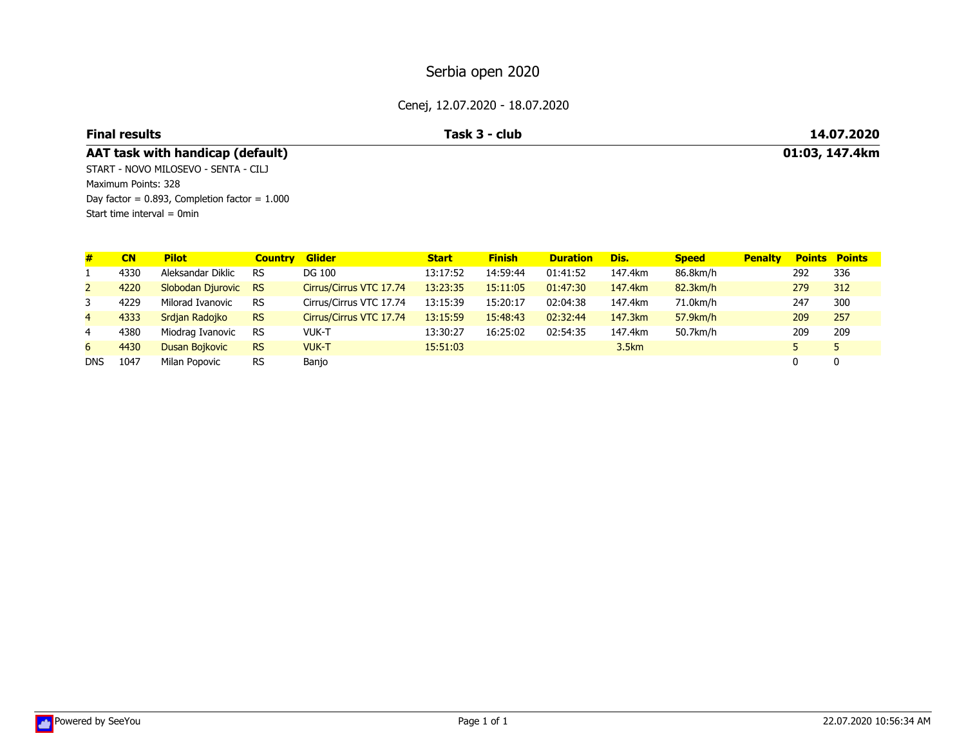### Cenej, 12.07.2020 - 18.07.2020

#### **Final results**

### **Task 3 - club**

## **AAT task with handicap (default)**

START - NOVO MILOSEVO - SENTA - CILJMaximum Points: 328Day factor  $= 0.893$ , Completion factor  $= 1.000$ Start time interval = 0min

| #              | <b>CN</b> | <b>Pilot</b>          | <b>Country</b> | <b>Glider</b>           | <b>Start</b> | <b>Finish</b> | <b>Duration</b> | Dis.    | <b>Speed</b> | <b>Penalty</b> | <b>Points</b> | <b>Points</b> |
|----------------|-----------|-----------------------|----------------|-------------------------|--------------|---------------|-----------------|---------|--------------|----------------|---------------|---------------|
|                | 4330      | Aleksandar Diklic     | <b>RS</b>      | DG 100                  | 13:17:52     | 14:59:44      | 01:41:52        | 147.4km | 86.8km/h     |                | 292           | 336           |
| $\overline{2}$ | 4220      | Slobodan Djurovic     | <b>RS</b>      | Cirrus/Cirrus VTC 17.74 | 13:23:35     | 15:11:05      | 01:47:30        | 147.4km | 82.3km/h     |                | 279           | 312           |
| 3              | 4229      | Milorad Ivanovic      | <b>RS</b>      | Cirrus/Cirrus VTC 17.74 | 13:15:39     | 15:20:17      | 02:04:38        | 147.4km | 71.0km/h     |                | 247           | 300           |
| $\overline{4}$ | 4333      | Srdjan Radojko        | <b>RS</b>      | Cirrus/Cirrus VTC 17.74 | 13:15:59     | 15:48:43      | 02:32:44        | 147.3km | 57.9km/h     |                | 209           | 257           |
| 4              | 4380      | Miodrag Ivanovic      | <b>RS</b>      | <b>VUK-T</b>            | 13:30:27     | 16:25:02      | 02:54:35        | 147.4km | 50.7km/h     |                | 209           | 209           |
| 6              | 4430      | <b>Dusan Boikovic</b> | <b>RS</b>      | <b>VUK-T</b>            | 15:51:03     |               |                 | 3.5km   |              |                |               |               |
| <b>DNS</b>     | 1047      | Milan Popovic         | <b>RS</b>      | Banjo                   |              |               |                 |         |              |                |               | 0             |

#### **14.07.2020**

**01:03, 147.4km**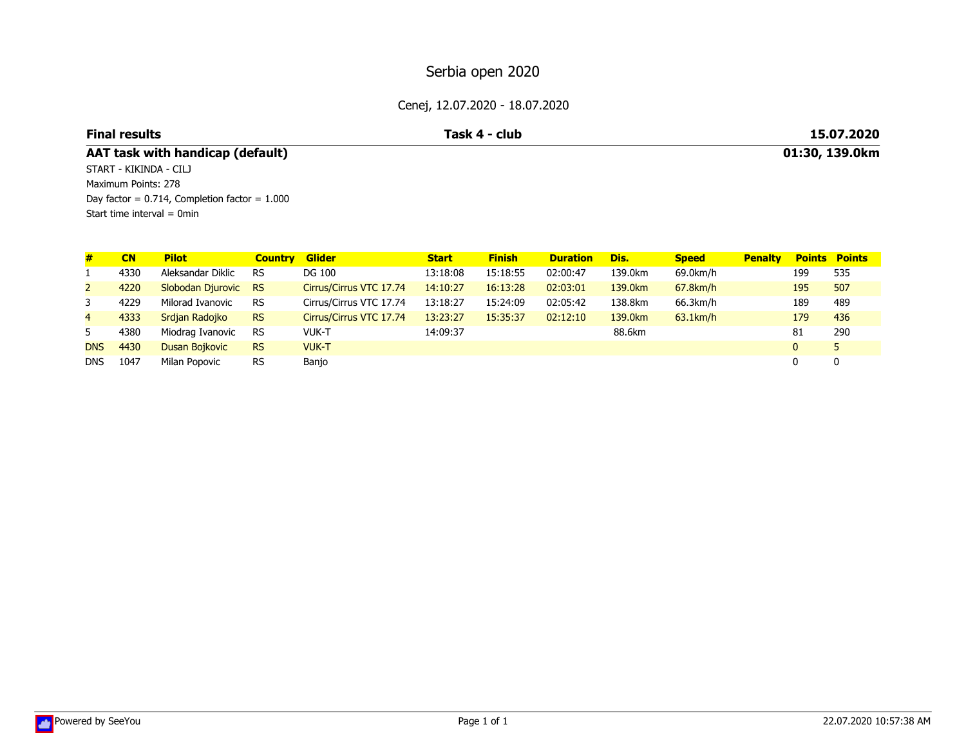### Cenej, 12.07.2020 - 18.07.2020

# **Final results**

### **Task 4 - club**

# **AAT task with handicap (default)**

START - KIKINDA - CILJMaximum Points: 278Day factor  $= 0.714$ , Completion factor  $= 1.000$ Start time interval = 0min

| #              | CN   | <b>Pilot</b>      | <b>Country</b> | <b>Glider</b>           | <b>Start</b> | <b>Finish</b> | <b>Duration</b> | Dis.    | <b>Speed</b> | <b>Penalty</b> | <b>Points</b> | <b>Points</b> |
|----------------|------|-------------------|----------------|-------------------------|--------------|---------------|-----------------|---------|--------------|----------------|---------------|---------------|
|                | 4330 | Aleksandar Diklic | <b>RS</b>      | DG 100                  | 13:18:08     | 15:18:55      | 02:00:47        | 139.0km | 69.0km/h     |                | 199           | 535           |
| $\overline{2}$ | 4220 | Slobodan Djurovic | -RS            | Cirrus/Cirrus VTC 17.74 | 14:10:27     | 16:13:28      | 02:03:01        | 139.0km | 67.8km/h     |                | 195           | 507           |
| 3              | 4229 | Milorad Ivanovic  | <b>RS</b>      | Cirrus/Cirrus VTC 17.74 | 13:18:27     | 15:24:09      | 02:05:42        | 138.8km | 66.3km/h     |                | 189           | 489           |
| $\overline{4}$ | 4333 | Srdjan Radojko    | <b>RS</b>      | Cirrus/Cirrus VTC 17.74 | 13:23:27     | 15:35:37      | 02:12:10        | 139.0km | $63.1$ km/h  |                | 179           | 436           |
| 5.             | 4380 | Miodrag Ivanovic  | <b>RS</b>      | <b>VUK-T</b>            | 14:09:37     |               |                 | 88.6km  |              |                | 81            | 290           |
| <b>DNS</b>     | 4430 | Dusan Bojkovic    | <b>RS</b>      | <b>VUK-T</b>            |              |               |                 |         |              |                | 0             |               |
| <b>DNS</b>     | 1047 | Milan Popovic     | <b>RS</b>      | Banjo                   |              |               |                 |         |              |                |               | 0             |

**15.07.2020**

**01:30, 139.0km**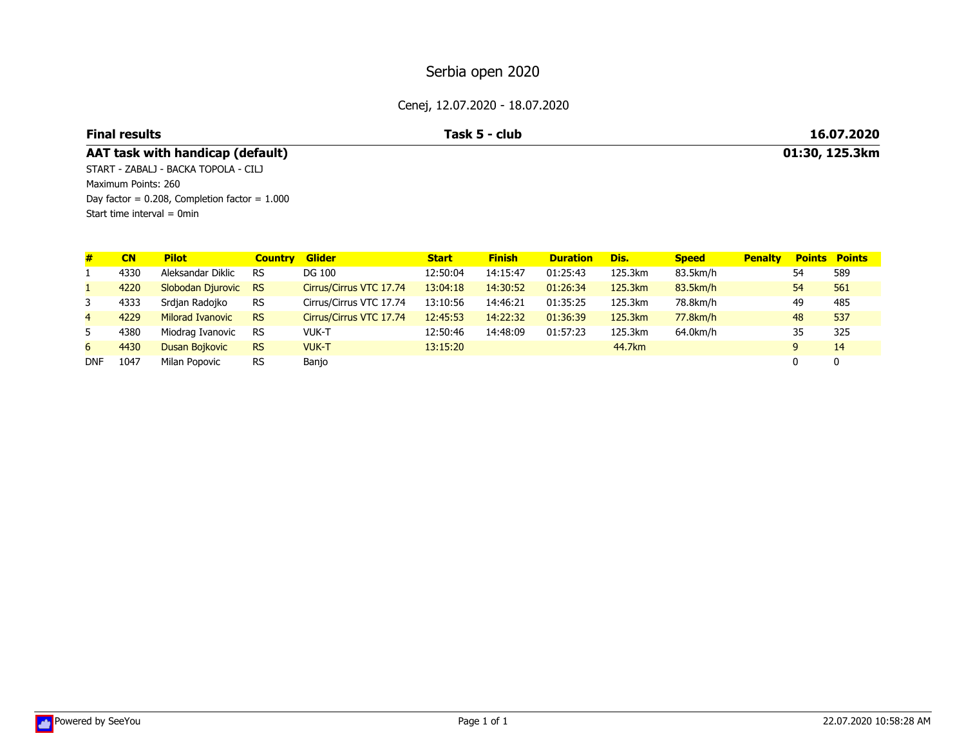### Cenej, 12.07.2020 - 18.07.2020

#### **Final results**

### **Task 5 - club**

## **AAT task with handicap (default)**

START - ZABALJ - BACKA TOPOLA - CILJMaximum Points: 260Day factor  $= 0.208$ , Completion factor  $= 1.000$ Start time interval = 0min

| #              | <b>CN</b> | <b>Pilot</b>          | <b>Country</b> | <b>Glider</b>           | <b>Start</b> | <b>Finish</b> | <b>Duration</b> | Dis.    | <b>Speed</b> | <b>Penalty</b> | <b>Points</b> | <b>Points</b> |
|----------------|-----------|-----------------------|----------------|-------------------------|--------------|---------------|-----------------|---------|--------------|----------------|---------------|---------------|
|                | 4330      | Aleksandar Diklic     | <b>RS</b>      | DG 100                  | 12:50:04     | 14:15:47      | 01:25:43        | 125.3km | 83.5km/h     |                | 54            | 589           |
|                | 4220      | Slobodan Djurovic     | <b>RS</b>      | Cirrus/Cirrus VTC 17.74 | 13:04:18     | 14:30:52      | 01:26:34        | 125.3km | 83.5km/h     |                | 54            | 561           |
| 3              | 4333      | Srdjan Radojko        | <b>RS</b>      | Cirrus/Cirrus VTC 17.74 | 13:10:56     | 14:46:21      | 01:35:25        | 125.3km | 78.8km/h     |                | 49            | 485           |
| $\overline{4}$ | 4229      | Milorad Ivanovic      | <b>RS</b>      | Cirrus/Cirrus VTC 17.74 | 12:45:53     | 14:22:32      | 01:36:39        | 125.3km | 77.8km/h     |                | 48            | 537           |
| 5              | 4380      | Miodrag Ivanovic      | <b>RS</b>      | <b>VUK-T</b>            | 12:50:46     | 14:48:09      | 01:57:23        | 125.3km | 64.0km/h     |                | 35            | 325           |
| 6              | 4430      | <b>Dusan Boikovic</b> | <b>RS</b>      | <b>VUK-T</b>            | 13:15:20     |               |                 | 44.7km  |              |                | q             | 14            |
| <b>DNF</b>     | 1047      | Milan Popovic         | <b>RS</b>      | Banjo                   |              |               |                 |         |              |                |               | 0             |

#### **16.07.2020**

**01:30, 125.3km**